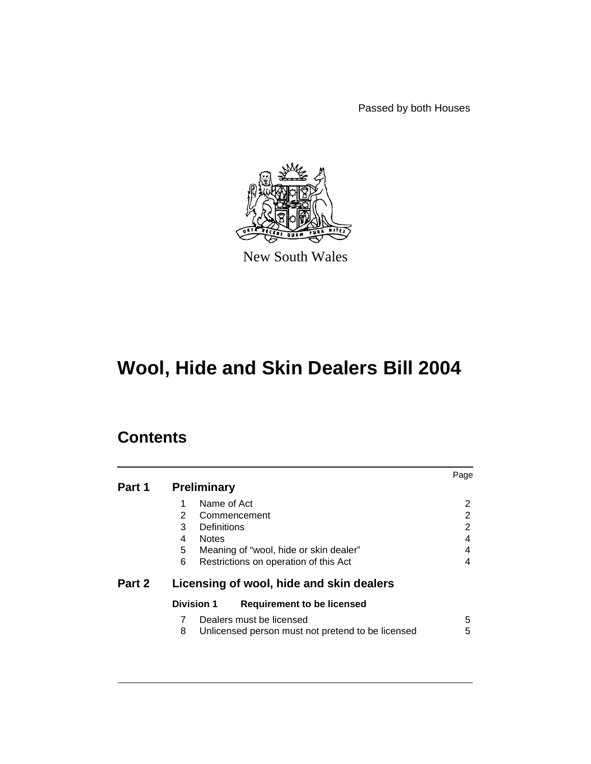Passed by both Houses



New South Wales

# **Wool, Hide and Skin Dealers Bill 2004**

# **Contents**

|        |                                                        | Page |  |  |
|--------|--------------------------------------------------------|------|--|--|
| Part 1 | <b>Preliminary</b>                                     |      |  |  |
|        | Name of Act<br>1                                       | 2    |  |  |
|        | $\overline{2}$<br>Commencement                         | 2    |  |  |
|        | 3<br>Definitions                                       | 2    |  |  |
|        | <b>Notes</b><br>4                                      | 4    |  |  |
|        | 5<br>Meaning of "wool, hide or skin dealer"            | 4    |  |  |
|        | 6<br>Restrictions on operation of this Act             | 4    |  |  |
| Part 2 | Licensing of wool, hide and skin dealers               |      |  |  |
|        | <b>Division 1</b><br><b>Requirement to be licensed</b> |      |  |  |
|        | Dealers must be licensed<br>7                          | 5    |  |  |
|        | Unlicensed person must not pretend to be licensed<br>8 | 5    |  |  |
|        |                                                        |      |  |  |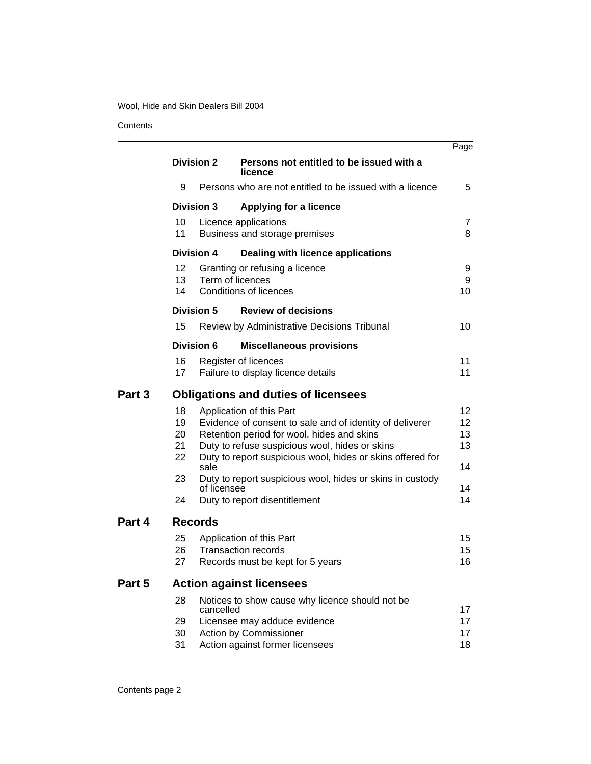**Contents** 

|        |                                            |                   |                                                                                                                                                                                                                                                    | Page                       |  |
|--------|--------------------------------------------|-------------------|----------------------------------------------------------------------------------------------------------------------------------------------------------------------------------------------------------------------------------------------------|----------------------------|--|
|        | <b>Division 2</b>                          |                   | Persons not entitled to be issued with a<br>licence                                                                                                                                                                                                |                            |  |
|        | 9                                          |                   | Persons who are not entitled to be issued with a licence                                                                                                                                                                                           | 5                          |  |
|        | <b>Division 3</b>                          |                   | <b>Applying for a licence</b>                                                                                                                                                                                                                      |                            |  |
|        | 10<br>11                                   |                   | Licence applications<br>Business and storage premises                                                                                                                                                                                              | 7<br>8                     |  |
|        |                                            | <b>Division 4</b> | <b>Dealing with licence applications</b>                                                                                                                                                                                                           |                            |  |
|        | 12<br>13<br>14                             |                   | Granting or refusing a licence<br>Term of licences<br><b>Conditions of licences</b>                                                                                                                                                                | 9<br>9<br>10               |  |
|        |                                            | <b>Division 5</b> | <b>Review of decisions</b>                                                                                                                                                                                                                         |                            |  |
|        | 15                                         |                   | Review by Administrative Decisions Tribunal                                                                                                                                                                                                        | 10                         |  |
|        |                                            | <b>Division 6</b> | <b>Miscellaneous provisions</b>                                                                                                                                                                                                                    |                            |  |
|        | 16<br>17                                   |                   | Register of licences<br>Failure to display licence details                                                                                                                                                                                         | 11<br>11                   |  |
| Part 3 | <b>Obligations and duties of licensees</b> |                   |                                                                                                                                                                                                                                                    |                            |  |
|        | 18<br>19<br>20<br>21<br>22                 | sale              | Application of this Part<br>Evidence of consent to sale and of identity of deliverer<br>Retention period for wool, hides and skins<br>Duty to refuse suspicious wool, hides or skins<br>Duty to report suspicious wool, hides or skins offered for | 12<br>12<br>13<br>13<br>14 |  |
|        | 23                                         |                   | Duty to report suspicious wool, hides or skins in custody                                                                                                                                                                                          | 14                         |  |
|        | 24                                         | of licensee       | Duty to report disentitlement                                                                                                                                                                                                                      | 14                         |  |
| Part 4 |                                            | <b>Records</b>    |                                                                                                                                                                                                                                                    |                            |  |
|        | 25<br>26<br>27                             |                   | Application of this Part<br><b>Transaction records</b><br>Records must be kept for 5 years                                                                                                                                                         | 15<br>15<br>16             |  |
| Part 5 | <b>Action against licensees</b>            |                   |                                                                                                                                                                                                                                                    |                            |  |
|        | 28                                         | cancelled         | Notices to show cause why licence should not be                                                                                                                                                                                                    | 17                         |  |
|        | 29<br>30<br>31                             |                   | Licensee may adduce evidence<br>Action by Commissioner<br>Action against former licensees                                                                                                                                                          | 17<br>17<br>18             |  |
|        |                                            |                   |                                                                                                                                                                                                                                                    |                            |  |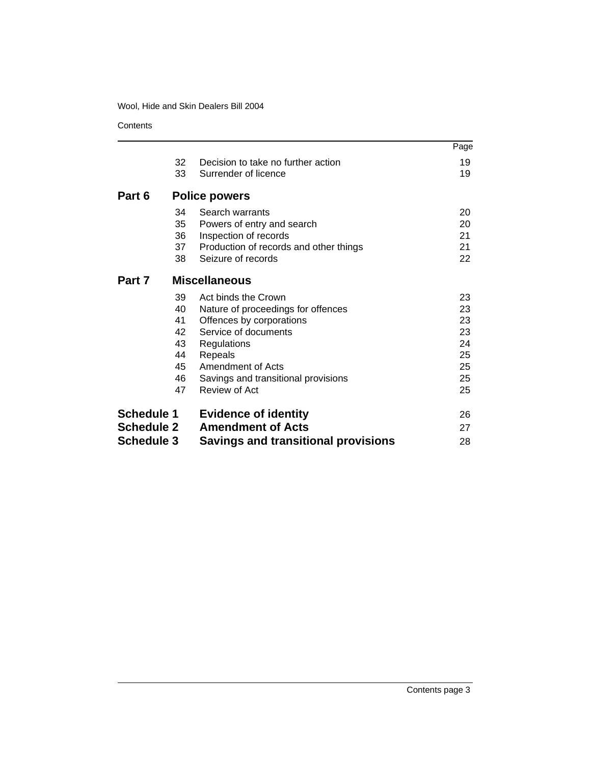**Contents** 

|                   |    |                                            | Page |
|-------------------|----|--------------------------------------------|------|
|                   | 32 | Decision to take no further action         | 19   |
|                   | 33 | Surrender of licence                       | 19   |
| Part 6            |    | <b>Police powers</b>                       |      |
|                   | 34 | Search warrants                            | 20   |
|                   | 35 | Powers of entry and search                 | 20   |
|                   | 36 | Inspection of records                      | 21   |
|                   | 37 | Production of records and other things     | 21   |
|                   | 38 | Seizure of records                         | 22   |
| Part 7            |    | <b>Miscellaneous</b>                       |      |
|                   | 39 | Act binds the Crown                        | 23   |
|                   | 40 | Nature of proceedings for offences         | 23   |
|                   | 41 | Offences by corporations                   | 23   |
|                   | 42 | Service of documents                       | 23   |
|                   | 43 | Regulations                                | 24   |
|                   | 44 | Repeals                                    | 25   |
|                   | 45 | Amendment of Acts                          | 25   |
|                   | 46 | Savings and transitional provisions        | 25   |
|                   | 47 | Review of Act                              | 25   |
| <b>Schedule 1</b> |    | <b>Evidence of identity</b>                | 26   |
| <b>Schedule 2</b> |    | <b>Amendment of Acts</b>                   | 27   |
| <b>Schedule 3</b> |    | <b>Savings and transitional provisions</b> | 28   |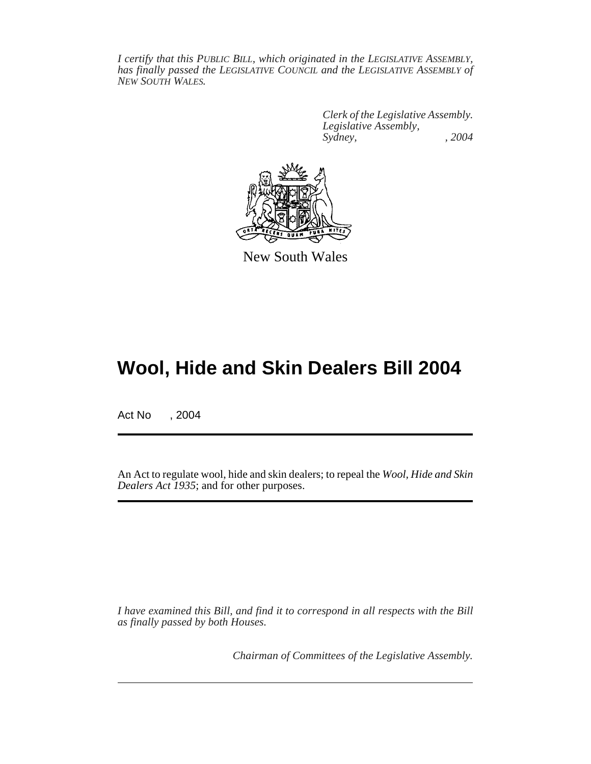*I certify that this PUBLIC BILL, which originated in the LEGISLATIVE ASSEMBLY, has finally passed the LEGISLATIVE COUNCIL and the LEGISLATIVE ASSEMBLY of NEW SOUTH WALES.*

> *Clerk of the Legislative Assembly. Legislative Assembly, Sydney, , 2004*



New South Wales

# **Wool, Hide and Skin Dealers Bill 2004**

Act No , 2004

An Act to regulate wool, hide and skin dealers; to repeal the *Wool, Hide and Skin Dealers Act 1935*; and for other purposes.

*I have examined this Bill, and find it to correspond in all respects with the Bill as finally passed by both Houses.*

*Chairman of Committees of the Legislative Assembly.*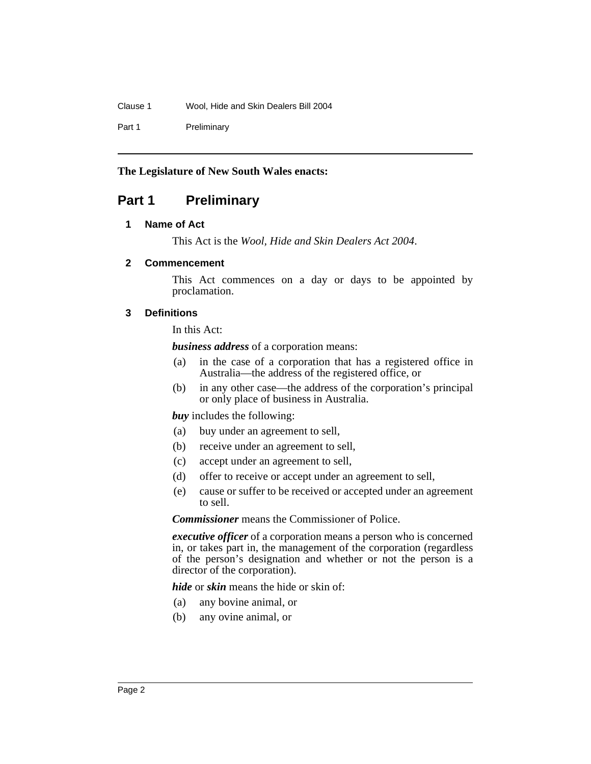Clause 1 Wool, Hide and Skin Dealers Bill 2004

Part 1 Preliminary

**The Legislature of New South Wales enacts:**

## **Part 1 Preliminary**

#### **1 Name of Act**

This Act is the *Wool, Hide and Skin Dealers Act 2004*.

#### **2 Commencement**

This Act commences on a day or days to be appointed by proclamation.

#### **3 Definitions**

In this Act:

*business address* of a corporation means:

- (a) in the case of a corporation that has a registered office in Australia—the address of the registered office, or
- (b) in any other case—the address of the corporation's principal or only place of business in Australia.

*buy* includes the following:

- (a) buy under an agreement to sell,
- (b) receive under an agreement to sell,
- (c) accept under an agreement to sell,
- (d) offer to receive or accept under an agreement to sell,
- (e) cause or suffer to be received or accepted under an agreement to sell.

*Commissioner* means the Commissioner of Police.

*executive officer* of a corporation means a person who is concerned in, or takes part in, the management of the corporation (regardless of the person's designation and whether or not the person is a director of the corporation).

*hide* or *skin* means the hide or skin of:

- (a) any bovine animal, or
- (b) any ovine animal, or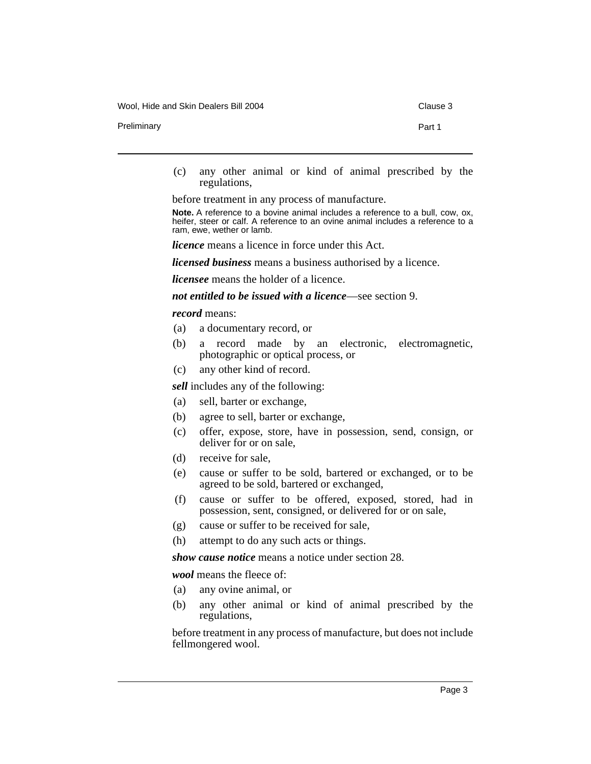Wool, Hide and Skin Dealers Bill 2004 Clause 3

Preliminary **Part 1** 

(c) any other animal or kind of animal prescribed by the regulations,

before treatment in any process of manufacture.

**Note.** A reference to a bovine animal includes a reference to a bull, cow, ox, heifer, steer or calf. A reference to an ovine animal includes a reference to a ram, ewe, wether or lamb.

*licence* means a licence in force under this Act.

*licensed business* means a business authorised by a licence.

*licensee* means the holder of a licence.

*not entitled to be issued with a licence*—see section 9.

#### *record* means:

- (a) a documentary record, or
- (b) a record made by an electronic, electromagnetic, photographic or optical process, or
- (c) any other kind of record.

*sell* includes any of the following:

- (a) sell, barter or exchange,
- (b) agree to sell, barter or exchange,
- (c) offer, expose, store, have in possession, send, consign, or deliver for or on sale,
- (d) receive for sale,
- (e) cause or suffer to be sold, bartered or exchanged, or to be agreed to be sold, bartered or exchanged,
- (f) cause or suffer to be offered, exposed, stored, had in possession, sent, consigned, or delivered for or on sale,
- (g) cause or suffer to be received for sale,
- (h) attempt to do any such acts or things.

*show cause notice* means a notice under section 28.

*wool* means the fleece of:

- (a) any ovine animal, or
- (b) any other animal or kind of animal prescribed by the regulations,

before treatment in any process of manufacture, but does not include fellmongered wool.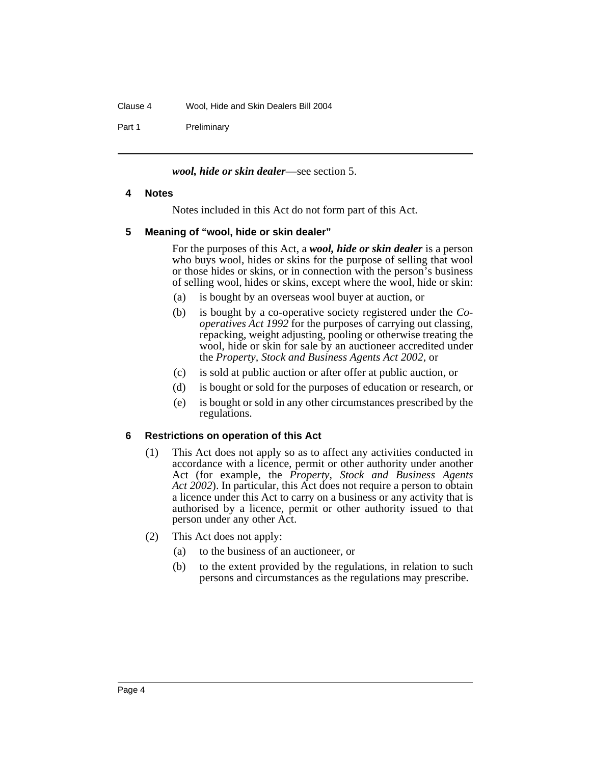## Clause 4 Wool, Hide and Skin Dealers Bill 2004

Part 1 Preliminary

## *wool, hide or skin dealer*—see section 5.

#### **4 Notes**

Notes included in this Act do not form part of this Act.

#### **5 Meaning of "wool, hide or skin dealer"**

For the purposes of this Act, a *wool, hide or skin dealer* is a person who buys wool, hides or skins for the purpose of selling that wool or those hides or skins, or in connection with the person's business of selling wool, hides or skins, except where the wool, hide or skin:

- (a) is bought by an overseas wool buyer at auction, or
- (b) is bought by a co-operative society registered under the *Cooperatives Act 1992* for the purposes of carrying out classing, repacking, weight adjusting, pooling or otherwise treating the wool, hide or skin for sale by an auctioneer accredited under the *Property, Stock and Business Agents Act 2002*, or
- (c) is sold at public auction or after offer at public auction, or
- (d) is bought or sold for the purposes of education or research, or
- (e) is bought or sold in any other circumstances prescribed by the regulations.

#### **6 Restrictions on operation of this Act**

- (1) This Act does not apply so as to affect any activities conducted in accordance with a licence, permit or other authority under another Act (for example, the *Property, Stock and Business Agents Act 2002*). In particular, this Act does not require a person to obtain a licence under this Act to carry on a business or any activity that is authorised by a licence, permit or other authority issued to that person under any other Act.
- (2) This Act does not apply:
	- (a) to the business of an auctioneer, or
	- (b) to the extent provided by the regulations, in relation to such persons and circumstances as the regulations may prescribe.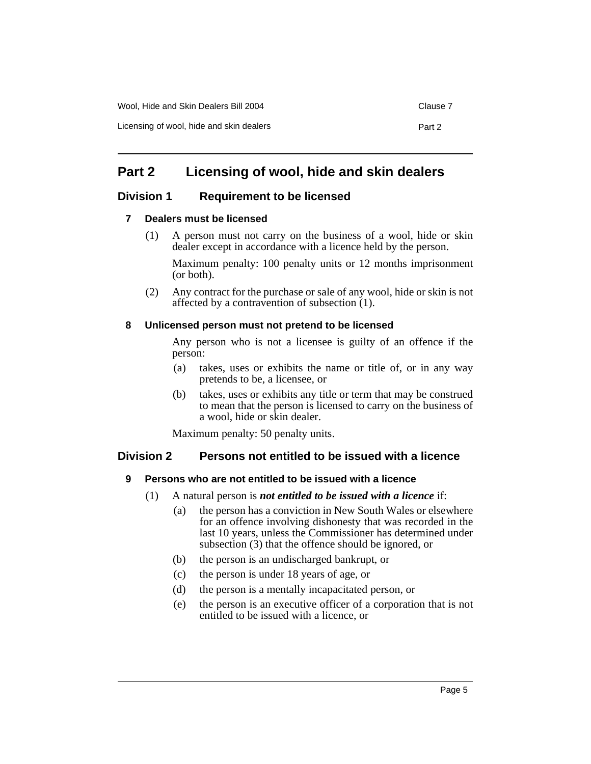## **Part 2 Licensing of wool, hide and skin dealers**

## **Division 1 Requirement to be licensed**

## **7 Dealers must be licensed**

(1) A person must not carry on the business of a wool, hide or skin dealer except in accordance with a licence held by the person.

Maximum penalty: 100 penalty units or 12 months imprisonment (or both).

(2) Any contract for the purchase or sale of any wool, hide or skin is not affected by a contravention of subsection (1).

## **8 Unlicensed person must not pretend to be licensed**

Any person who is not a licensee is guilty of an offence if the person:

- (a) takes, uses or exhibits the name or title of, or in any way pretends to be, a licensee, or
- (b) takes, uses or exhibits any title or term that may be construed to mean that the person is licensed to carry on the business of a wool, hide or skin dealer.

Maximum penalty: 50 penalty units.

## **Division 2 Persons not entitled to be issued with a licence**

## **9 Persons who are not entitled to be issued with a licence**

- (1) A natural person is *not entitled to be issued with a licence* if:
	- (a) the person has a conviction in New South Wales or elsewhere for an offence involving dishonesty that was recorded in the last 10 years, unless the Commissioner has determined under subsection (3) that the offence should be ignored, or
	- (b) the person is an undischarged bankrupt, or
	- (c) the person is under 18 years of age, or
	- (d) the person is a mentally incapacitated person, or
	- (e) the person is an executive officer of a corporation that is not entitled to be issued with a licence, or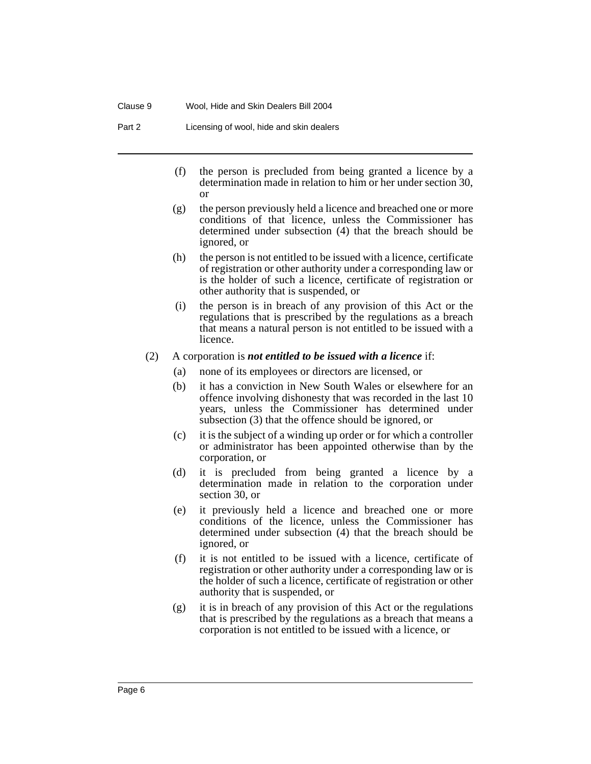Part 2 Licensing of wool, hide and skin dealers

- (f) the person is precluded from being granted a licence by a determination made in relation to him or her under section 30, or
- (g) the person previously held a licence and breached one or more conditions of that licence, unless the Commissioner has determined under subsection (4) that the breach should be ignored, or
- (h) the person is not entitled to be issued with a licence, certificate of registration or other authority under a corresponding law or is the holder of such a licence, certificate of registration or other authority that is suspended, or
- (i) the person is in breach of any provision of this Act or the regulations that is prescribed by the regulations as a breach that means a natural person is not entitled to be issued with a licence.

#### (2) A corporation is *not entitled to be issued with a licence* if:

- (a) none of its employees or directors are licensed, or
- (b) it has a conviction in New South Wales or elsewhere for an offence involving dishonesty that was recorded in the last 10 years, unless the Commissioner has determined under subsection (3) that the offence should be ignored, or
- (c) it is the subject of a winding up order or for which a controller or administrator has been appointed otherwise than by the corporation, or
- (d) it is precluded from being granted a licence by a determination made in relation to the corporation under section 30, or
- (e) it previously held a licence and breached one or more conditions of the licence, unless the Commissioner has determined under subsection (4) that the breach should be ignored, or
- (f) it is not entitled to be issued with a licence, certificate of registration or other authority under a corresponding law or is the holder of such a licence, certificate of registration or other authority that is suspended, or
- (g) it is in breach of any provision of this Act or the regulations that is prescribed by the regulations as a breach that means a corporation is not entitled to be issued with a licence, or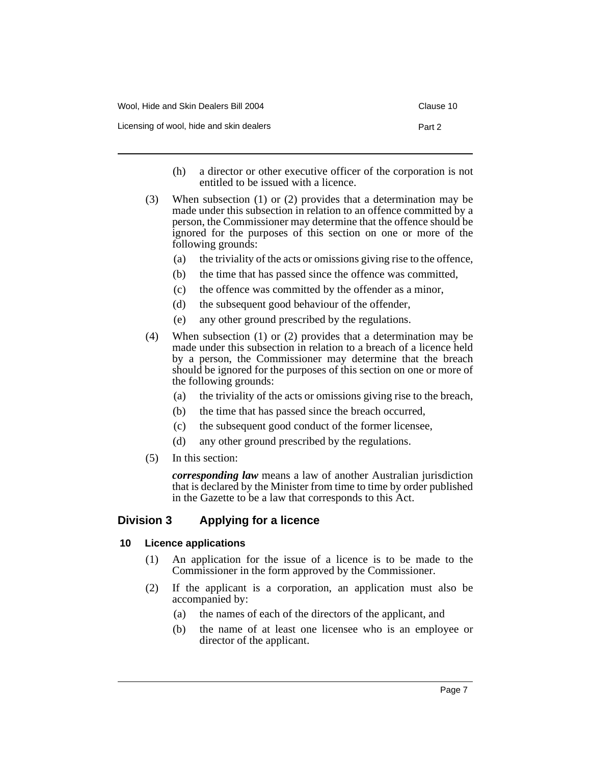| Wool, Hide and Skin Dealers Bill 2004    | Clause 10 |
|------------------------------------------|-----------|
| Licensing of wool, hide and skin dealers | Part 2    |

- (h) a director or other executive officer of the corporation is not entitled to be issued with a licence.
- (3) When subsection (1) or (2) provides that a determination may be made under this subsection in relation to an offence committed by a person, the Commissioner may determine that the offence should be ignored for the purposes of this section on one or more of the following grounds:
	- (a) the triviality of the acts or omissions giving rise to the offence,
	- (b) the time that has passed since the offence was committed,
	- (c) the offence was committed by the offender as a minor,
	- (d) the subsequent good behaviour of the offender,
	- (e) any other ground prescribed by the regulations.
- (4) When subsection (1) or (2) provides that a determination may be made under this subsection in relation to a breach of a licence held by a person, the Commissioner may determine that the breach should be ignored for the purposes of this section on one or more of the following grounds:
	- (a) the triviality of the acts or omissions giving rise to the breach,
	- (b) the time that has passed since the breach occurred,
	- (c) the subsequent good conduct of the former licensee,
	- (d) any other ground prescribed by the regulations.
- (5) In this section:

*corresponding law* means a law of another Australian jurisdiction that is declared by the Minister from time to time by order published in the Gazette to be a law that corresponds to this Act.

## **Division 3 Applying for a licence**

## **10 Licence applications**

- (1) An application for the issue of a licence is to be made to the Commissioner in the form approved by the Commissioner.
- (2) If the applicant is a corporation, an application must also be accompanied by:
	- (a) the names of each of the directors of the applicant, and
	- (b) the name of at least one licensee who is an employee or director of the applicant.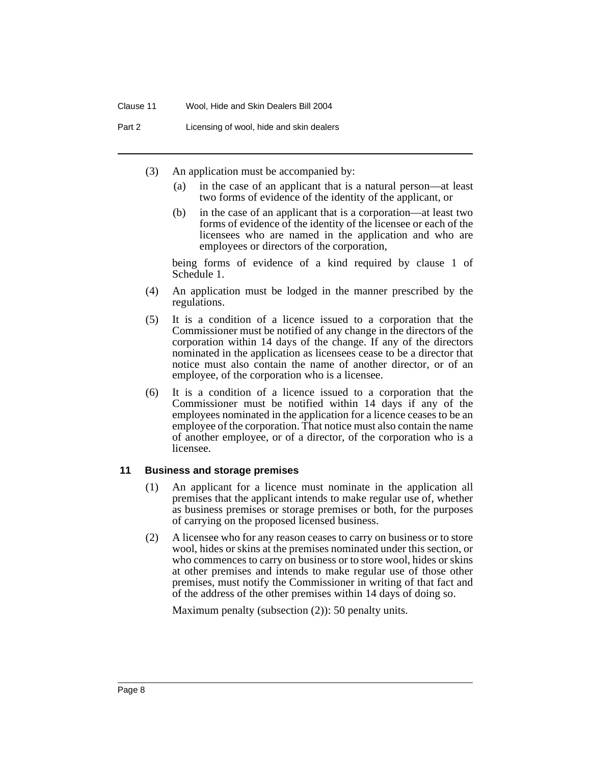Part 2 Licensing of wool, hide and skin dealers

- (3) An application must be accompanied by:
	- (a) in the case of an applicant that is a natural person—at least two forms of evidence of the identity of the applicant, or
	- (b) in the case of an applicant that is a corporation—at least two forms of evidence of the identity of the licensee or each of the licensees who are named in the application and who are employees or directors of the corporation,

being forms of evidence of a kind required by clause 1 of Schedule 1.

- (4) An application must be lodged in the manner prescribed by the regulations.
- (5) It is a condition of a licence issued to a corporation that the Commissioner must be notified of any change in the directors of the corporation within 14 days of the change. If any of the directors nominated in the application as licensees cease to be a director that notice must also contain the name of another director, or of an employee, of the corporation who is a licensee.
- (6) It is a condition of a licence issued to a corporation that the Commissioner must be notified within 14 days if any of the employees nominated in the application for a licence ceases to be an employee of the corporation. That notice must also contain the name of another employee, or of a director, of the corporation who is a licensee.

#### **11 Business and storage premises**

- (1) An applicant for a licence must nominate in the application all premises that the applicant intends to make regular use of, whether as business premises or storage premises or both, for the purposes of carrying on the proposed licensed business.
- (2) A licensee who for any reason ceases to carry on business or to store wool, hides or skins at the premises nominated under this section, or who commences to carry on business or to store wool, hides or skins at other premises and intends to make regular use of those other premises, must notify the Commissioner in writing of that fact and of the address of the other premises within 14 days of doing so.

Maximum penalty (subsection (2)): 50 penalty units.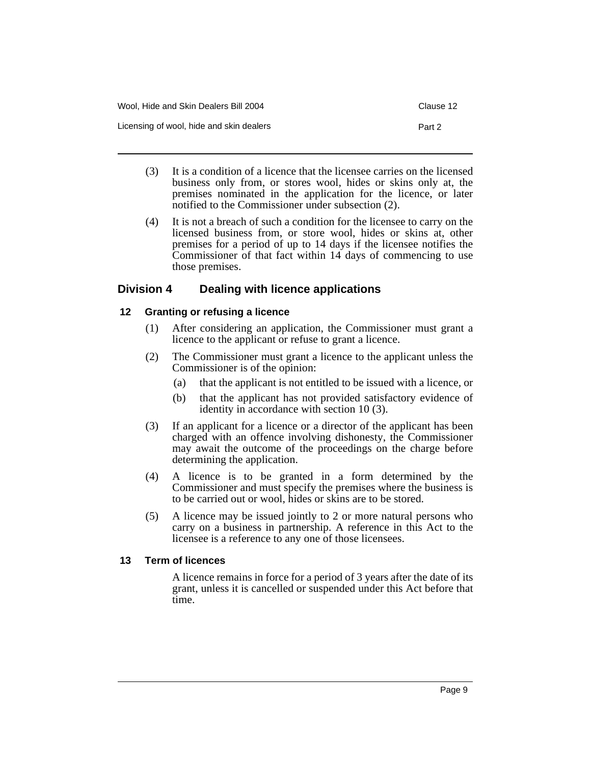| Wool. Hide and Skin Dealers Bill 2004    | Clause 12 |
|------------------------------------------|-----------|
| Licensing of wool, hide and skin dealers | Part 2    |

- (3) It is a condition of a licence that the licensee carries on the licensed business only from, or stores wool, hides or skins only at, the premises nominated in the application for the licence, or later notified to the Commissioner under subsection (2).
- (4) It is not a breach of such a condition for the licensee to carry on the licensed business from, or store wool, hides or skins at, other premises for a period of up to 14 days if the licensee notifies the Commissioner of that fact within 14 days of commencing to use those premises.

## **Division 4 Dealing with licence applications**

### **12 Granting or refusing a licence**

- (1) After considering an application, the Commissioner must grant a licence to the applicant or refuse to grant a licence.
- (2) The Commissioner must grant a licence to the applicant unless the Commissioner is of the opinion:
	- (a) that the applicant is not entitled to be issued with a licence, or
	- (b) that the applicant has not provided satisfactory evidence of identity in accordance with section 10 (3).
- (3) If an applicant for a licence or a director of the applicant has been charged with an offence involving dishonesty, the Commissioner may await the outcome of the proceedings on the charge before determining the application.
- (4) A licence is to be granted in a form determined by the Commissioner and must specify the premises where the business is to be carried out or wool, hides or skins are to be stored.
- (5) A licence may be issued jointly to 2 or more natural persons who carry on a business in partnership. A reference in this Act to the licensee is a reference to any one of those licensees.

#### **13 Term of licences**

A licence remains in force for a period of 3 years after the date of its grant, unless it is cancelled or suspended under this Act before that time.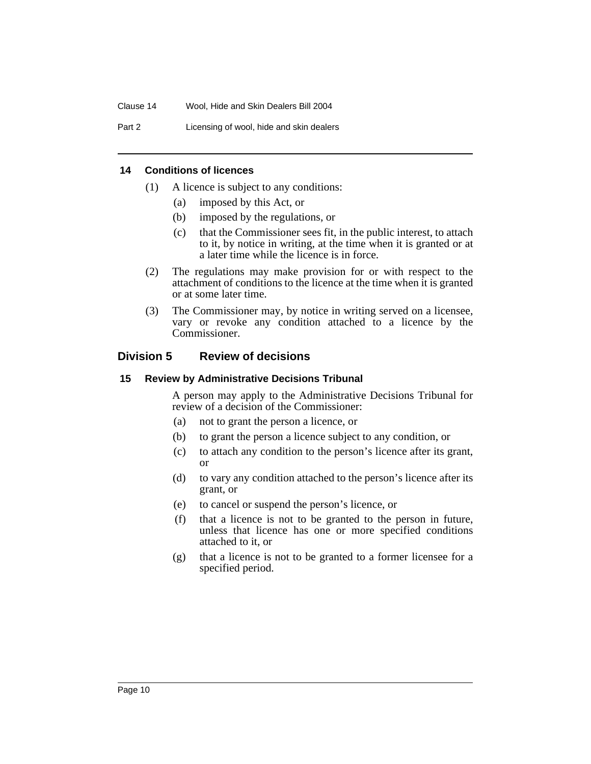Part 2 Licensing of wool, hide and skin dealers

#### **14 Conditions of licences**

- (1) A licence is subject to any conditions:
	- (a) imposed by this Act, or
	- (b) imposed by the regulations, or
	- (c) that the Commissioner sees fit, in the public interest, to attach to it, by notice in writing, at the time when it is granted or at a later time while the licence is in force.
- (2) The regulations may make provision for or with respect to the attachment of conditions to the licence at the time when it is granted or at some later time.
- (3) The Commissioner may, by notice in writing served on a licensee, vary or revoke any condition attached to a licence by the Commissioner.

### **Division 5 Review of decisions**

#### **15 Review by Administrative Decisions Tribunal**

A person may apply to the Administrative Decisions Tribunal for review of a decision of the Commissioner:

- (a) not to grant the person a licence, or
- (b) to grant the person a licence subject to any condition, or
- (c) to attach any condition to the person's licence after its grant, or
- (d) to vary any condition attached to the person's licence after its grant, or
- (e) to cancel or suspend the person's licence, or
- (f) that a licence is not to be granted to the person in future, unless that licence has one or more specified conditions attached to it, or
- (g) that a licence is not to be granted to a former licensee for a specified period.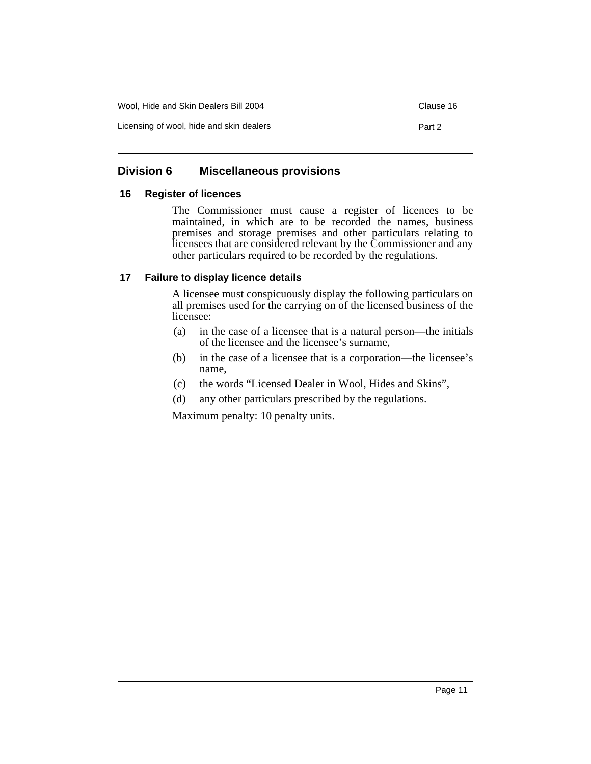| Wool, Hide and Skin Dealers Bill 2004    | Clause 16 |
|------------------------------------------|-----------|
| Licensing of wool, hide and skin dealers | Part 2    |

## **Division 6 Miscellaneous provisions**

### **16 Register of licences**

The Commissioner must cause a register of licences to be maintained, in which are to be recorded the names, business premises and storage premises and other particulars relating to licensees that are considered relevant by the Commissioner and any other particulars required to be recorded by the regulations.

### **17 Failure to display licence details**

A licensee must conspicuously display the following particulars on all premises used for the carrying on of the licensed business of the licensee:

- (a) in the case of a licensee that is a natural person—the initials of the licensee and the licensee's surname,
- (b) in the case of a licensee that is a corporation—the licensee's name,
- (c) the words "Licensed Dealer in Wool, Hides and Skins",
- (d) any other particulars prescribed by the regulations.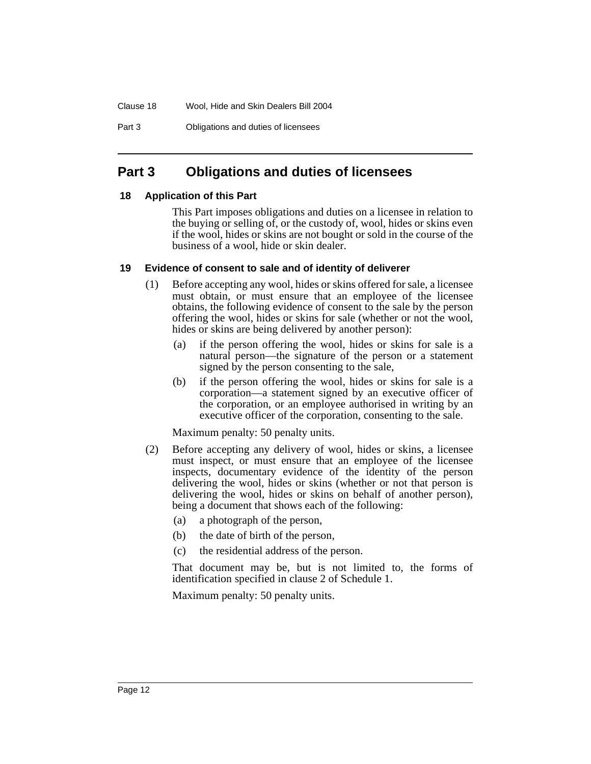Part 3 Obligations and duties of licensees

## **Part 3 Obligations and duties of licensees**

## **18 Application of this Part**

This Part imposes obligations and duties on a licensee in relation to the buying or selling of, or the custody of, wool, hides or skins even if the wool, hides or skins are not bought or sold in the course of the business of a wool, hide or skin dealer.

## **19 Evidence of consent to sale and of identity of deliverer**

- (1) Before accepting any wool, hides or skins offered for sale, a licensee must obtain, or must ensure that an employee of the licensee obtains, the following evidence of consent to the sale by the person offering the wool, hides or skins for sale (whether or not the wool, hides or skins are being delivered by another person):
	- (a) if the person offering the wool, hides or skins for sale is a natural person—the signature of the person or a statement signed by the person consenting to the sale,
	- (b) if the person offering the wool, hides or skins for sale is a corporation—a statement signed by an executive officer of the corporation, or an employee authorised in writing by an executive officer of the corporation, consenting to the sale.

Maximum penalty: 50 penalty units.

- (2) Before accepting any delivery of wool, hides or skins, a licensee must inspect, or must ensure that an employee of the licensee inspects, documentary evidence of the identity of the person delivering the wool, hides or skins (whether or not that person is delivering the wool, hides or skins on behalf of another person), being a document that shows each of the following:
	- (a) a photograph of the person,
	- (b) the date of birth of the person,
	- (c) the residential address of the person.

That document may be, but is not limited to, the forms of identification specified in clause 2 of Schedule 1.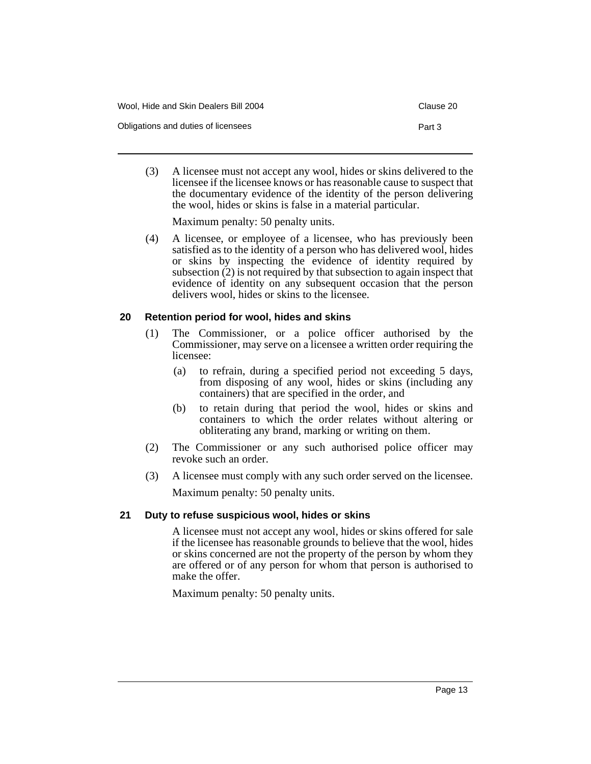| Wool. Hide and Skin Dealers Bill 2004 | Clause 20 |
|---------------------------------------|-----------|
| Obligations and duties of licensees   | Part 3    |

(3) A licensee must not accept any wool, hides or skins delivered to the licensee if the licensee knows or has reasonable cause to suspect that the documentary evidence of the identity of the person delivering the wool, hides or skins is false in a material particular.

Maximum penalty: 50 penalty units.

(4) A licensee, or employee of a licensee, who has previously been satisfied as to the identity of a person who has delivered wool, hides or skins by inspecting the evidence of identity required by subsection (2) is not required by that subsection to again inspect that evidence of identity on any subsequent occasion that the person delivers wool, hides or skins to the licensee.

### **20 Retention period for wool, hides and skins**

- (1) The Commissioner, or a police officer authorised by the Commissioner, may serve on a licensee a written order requiring the licensee:
	- (a) to refrain, during a specified period not exceeding 5 days, from disposing of any wool, hides or skins (including any containers) that are specified in the order, and
	- (b) to retain during that period the wool, hides or skins and containers to which the order relates without altering or obliterating any brand, marking or writing on them.
- (2) The Commissioner or any such authorised police officer may revoke such an order.
- (3) A licensee must comply with any such order served on the licensee. Maximum penalty: 50 penalty units.

## **21 Duty to refuse suspicious wool, hides or skins**

A licensee must not accept any wool, hides or skins offered for sale if the licensee has reasonable grounds to believe that the wool, hides or skins concerned are not the property of the person by whom they are offered or of any person for whom that person is authorised to make the offer.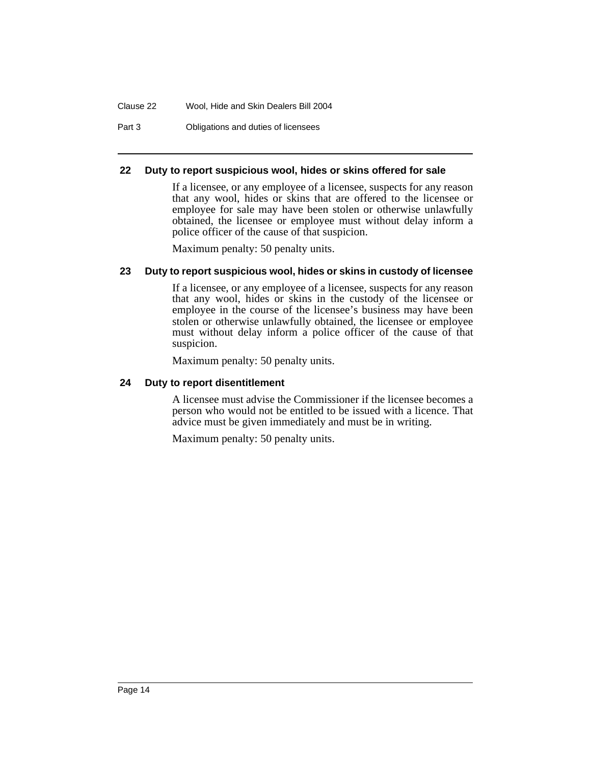Part 3 Obligations and duties of licensees

#### **22 Duty to report suspicious wool, hides or skins offered for sale**

If a licensee, or any employee of a licensee, suspects for any reason that any wool, hides or skins that are offered to the licensee or employee for sale may have been stolen or otherwise unlawfully obtained, the licensee or employee must without delay inform a police officer of the cause of that suspicion.

Maximum penalty: 50 penalty units.

#### **23 Duty to report suspicious wool, hides or skins in custody of licensee**

If a licensee, or any employee of a licensee, suspects for any reason that any wool, hides or skins in the custody of the licensee or employee in the course of the licensee's business may have been stolen or otherwise unlawfully obtained, the licensee or employee must without delay inform a police officer of the cause of that suspicion.

Maximum penalty: 50 penalty units.

#### **24 Duty to report disentitlement**

A licensee must advise the Commissioner if the licensee becomes a person who would not be entitled to be issued with a licence. That advice must be given immediately and must be in writing.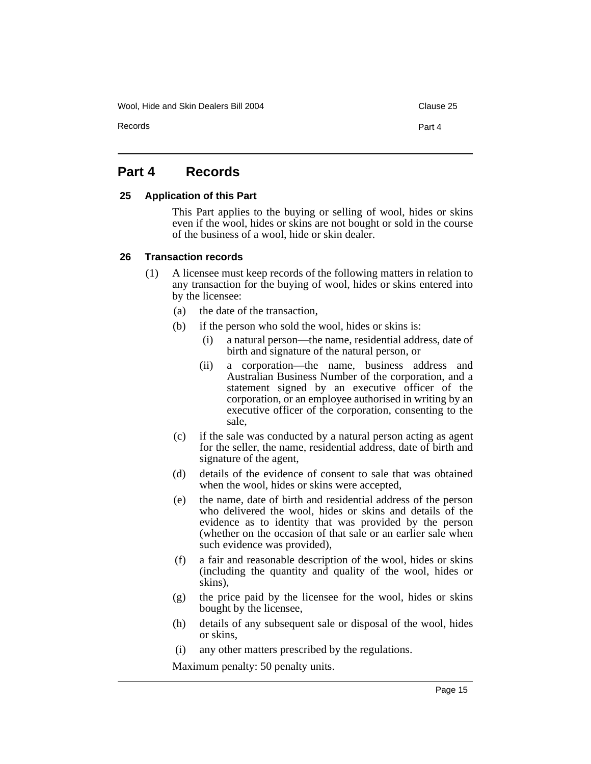Wool, Hide and Skin Dealers Bill 2004 Clause 25

Records **Part 4** 

## **Part 4 Records**

#### **25 Application of this Part**

This Part applies to the buying or selling of wool, hides or skins even if the wool, hides or skins are not bought or sold in the course of the business of a wool, hide or skin dealer.

#### **26 Transaction records**

- (1) A licensee must keep records of the following matters in relation to any transaction for the buying of wool, hides or skins entered into by the licensee:
	- (a) the date of the transaction,
	- (b) if the person who sold the wool, hides or skins is:
		- (i) a natural person—the name, residential address, date of birth and signature of the natural person, or
		- (ii) a corporation—the name, business address and Australian Business Number of the corporation, and a statement signed by an executive officer of the corporation, or an employee authorised in writing by an executive officer of the corporation, consenting to the sale,
	- (c) if the sale was conducted by a natural person acting as agent for the seller, the name, residential address, date of birth and signature of the agent,
	- (d) details of the evidence of consent to sale that was obtained when the wool, hides or skins were accepted,
	- (e) the name, date of birth and residential address of the person who delivered the wool, hides or skins and details of the evidence as to identity that was provided by the person (whether on the occasion of that sale or an earlier sale when such evidence was provided),
	- (f) a fair and reasonable description of the wool, hides or skins (including the quantity and quality of the wool, hides or skins),
	- (g) the price paid by the licensee for the wool, hides or skins bought by the licensee,
	- (h) details of any subsequent sale or disposal of the wool, hides or skins,
	- (i) any other matters prescribed by the regulations.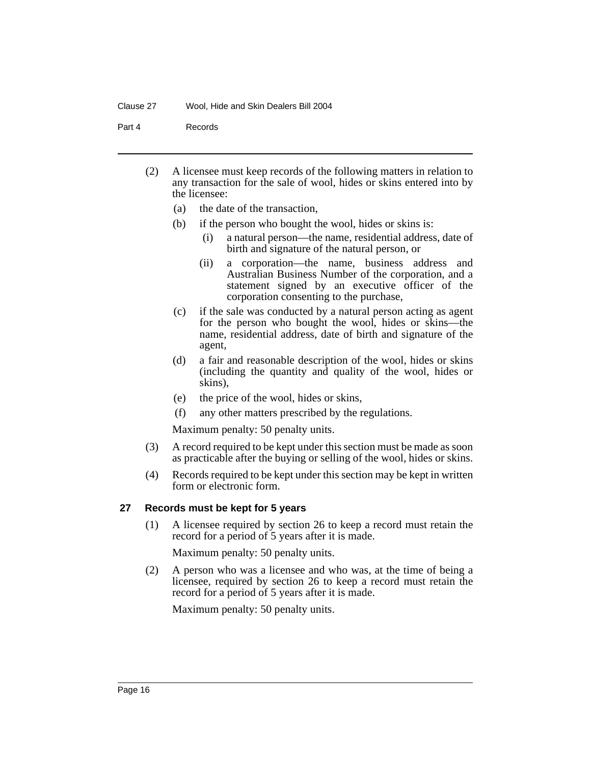Part 4 Records

- (2) A licensee must keep records of the following matters in relation to any transaction for the sale of wool, hides or skins entered into by the licensee:
	- (a) the date of the transaction,
	- (b) if the person who bought the wool, hides or skins is:
		- (i) a natural person—the name, residential address, date of birth and signature of the natural person, or
		- (ii) a corporation—the name, business address and Australian Business Number of the corporation, and a statement signed by an executive officer of the corporation consenting to the purchase,
	- (c) if the sale was conducted by a natural person acting as agent for the person who bought the wool, hides or skins—the name, residential address, date of birth and signature of the agent,
	- (d) a fair and reasonable description of the wool, hides or skins (including the quantity and quality of the wool, hides or skins),
	- (e) the price of the wool, hides or skins,
	- (f) any other matters prescribed by the regulations.

Maximum penalty: 50 penalty units.

- (3) A record required to be kept under this section must be made as soon as practicable after the buying or selling of the wool, hides or skins.
- (4) Records required to be kept under this section may be kept in written form or electronic form.

#### **27 Records must be kept for 5 years**

(1) A licensee required by section 26 to keep a record must retain the record for a period of 5 years after it is made.

Maximum penalty: 50 penalty units.

(2) A person who was a licensee and who was, at the time of being a licensee, required by section 26 to keep a record must retain the record for a period of 5 years after it is made.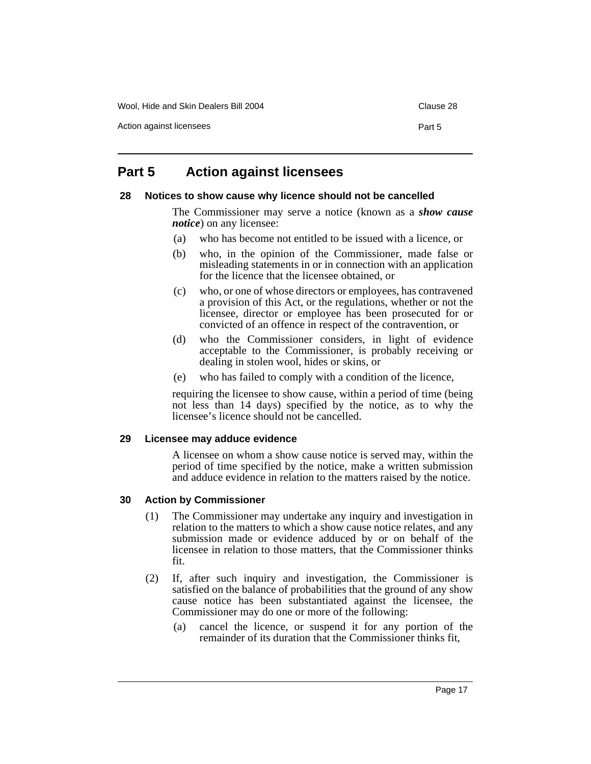## **Part 5 Action against licensees**

#### **28 Notices to show cause why licence should not be cancelled**

The Commissioner may serve a notice (known as a *show cause notice*) on any licensee:

- (a) who has become not entitled to be issued with a licence, or
- (b) who, in the opinion of the Commissioner, made false or misleading statements in or in connection with an application for the licence that the licensee obtained, or
- (c) who, or one of whose directors or employees, has contravened a provision of this Act, or the regulations, whether or not the licensee, director or employee has been prosecuted for or convicted of an offence in respect of the contravention, or
- (d) who the Commissioner considers, in light of evidence acceptable to the Commissioner, is probably receiving or dealing in stolen wool, hides or skins, or
- (e) who has failed to comply with a condition of the licence,

requiring the licensee to show cause, within a period of time (being not less than 14 days) specified by the notice, as to why the licensee's licence should not be cancelled.

#### **29 Licensee may adduce evidence**

A licensee on whom a show cause notice is served may, within the period of time specified by the notice, make a written submission and adduce evidence in relation to the matters raised by the notice.

#### **30 Action by Commissioner**

- (1) The Commissioner may undertake any inquiry and investigation in relation to the matters to which a show cause notice relates, and any submission made or evidence adduced by or on behalf of the licensee in relation to those matters, that the Commissioner thinks fit.
- (2) If, after such inquiry and investigation, the Commissioner is satisfied on the balance of probabilities that the ground of any show cause notice has been substantiated against the licensee, the Commissioner may do one or more of the following:
	- (a) cancel the licence, or suspend it for any portion of the remainder of its duration that the Commissioner thinks fit,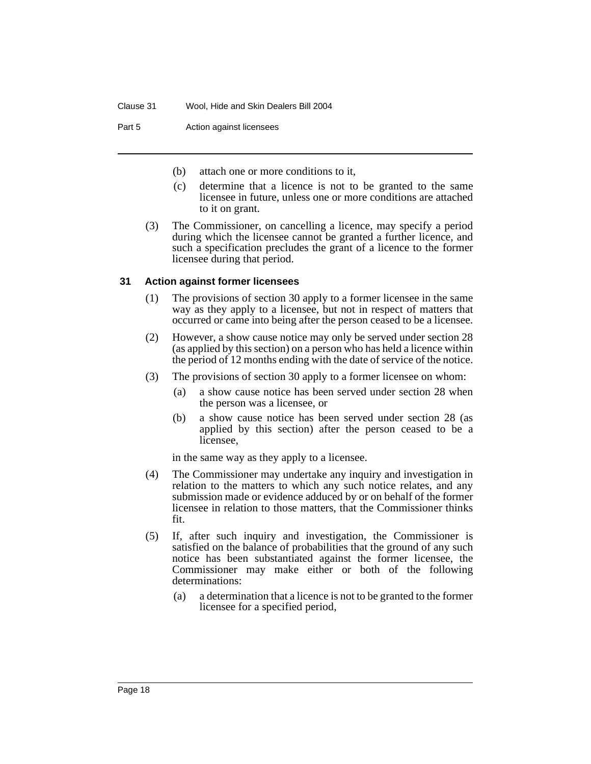Part 5 **Action against licensees** 

- (b) attach one or more conditions to it,
- (c) determine that a licence is not to be granted to the same licensee in future, unless one or more conditions are attached to it on grant.
- (3) The Commissioner, on cancelling a licence, may specify a period during which the licensee cannot be granted a further licence, and such a specification precludes the grant of a licence to the former licensee during that period.

### **31 Action against former licensees**

- (1) The provisions of section 30 apply to a former licensee in the same way as they apply to a licensee, but not in respect of matters that occurred or came into being after the person ceased to be a licensee.
- (2) However, a show cause notice may only be served under section 28 (as applied by this section) on a person who has held a licence within the period of 12 months ending with the date of service of the notice.
- (3) The provisions of section 30 apply to a former licensee on whom:
	- (a) a show cause notice has been served under section 28 when the person was a licensee, or
	- (b) a show cause notice has been served under section 28 (as applied by this section) after the person ceased to be a licensee,

in the same way as they apply to a licensee.

- (4) The Commissioner may undertake any inquiry and investigation in relation to the matters to which any such notice relates, and any submission made or evidence adduced by or on behalf of the former licensee in relation to those matters, that the Commissioner thinks fit.
- (5) If, after such inquiry and investigation, the Commissioner is satisfied on the balance of probabilities that the ground of any such notice has been substantiated against the former licensee, the Commissioner may make either or both of the following determinations:
	- (a) a determination that a licence is not to be granted to the former licensee for a specified period,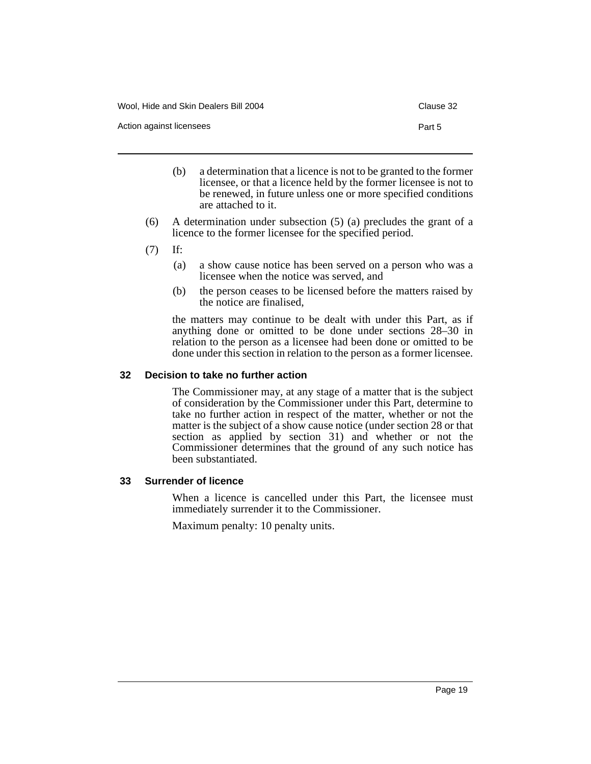- (b) a determination that a licence is not to be granted to the former licensee, or that a licence held by the former licensee is not to be renewed, in future unless one or more specified conditions are attached to it.
- (6) A determination under subsection (5) (a) precludes the grant of a licence to the former licensee for the specified period.
- (7) If:
	- (a) a show cause notice has been served on a person who was a licensee when the notice was served, and
	- (b) the person ceases to be licensed before the matters raised by the notice are finalised,

the matters may continue to be dealt with under this Part, as if anything done or omitted to be done under sections 28–30 in relation to the person as a licensee had been done or omitted to be done under this section in relation to the person as a former licensee.

#### **32 Decision to take no further action**

The Commissioner may, at any stage of a matter that is the subject of consideration by the Commissioner under this Part, determine to take no further action in respect of the matter, whether or not the matter is the subject of a show cause notice (under section 28 or that section as applied by section 31) and whether or not the Commissioner determines that the ground of any such notice has been substantiated.

#### **33 Surrender of licence**

When a licence is cancelled under this Part, the licensee must immediately surrender it to the Commissioner.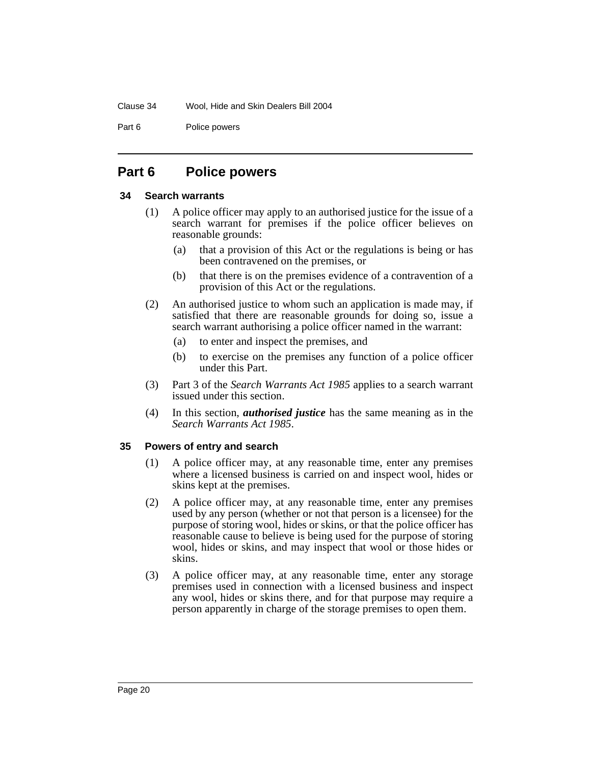Part 6 Police powers

## **Part 6 Police powers**

#### **34 Search warrants**

- (1) A police officer may apply to an authorised justice for the issue of a search warrant for premises if the police officer believes on reasonable grounds:
	- (a) that a provision of this Act or the regulations is being or has been contravened on the premises, or
	- (b) that there is on the premises evidence of a contravention of a provision of this Act or the regulations.
- (2) An authorised justice to whom such an application is made may, if satisfied that there are reasonable grounds for doing so, issue a search warrant authorising a police officer named in the warrant:
	- (a) to enter and inspect the premises, and
	- (b) to exercise on the premises any function of a police officer under this Part.
- (3) Part 3 of the *Search Warrants Act 1985* applies to a search warrant issued under this section.
- (4) In this section, *authorised justice* has the same meaning as in the *Search Warrants Act 1985*.

#### **35 Powers of entry and search**

- (1) A police officer may, at any reasonable time, enter any premises where a licensed business is carried on and inspect wool, hides or skins kept at the premises.
- (2) A police officer may, at any reasonable time, enter any premises used by any person (whether or not that person is a licensee) for the purpose of storing wool, hides or skins, or that the police officer has reasonable cause to believe is being used for the purpose of storing wool, hides or skins, and may inspect that wool or those hides or skins.
- (3) A police officer may, at any reasonable time, enter any storage premises used in connection with a licensed business and inspect any wool, hides or skins there, and for that purpose may require a person apparently in charge of the storage premises to open them.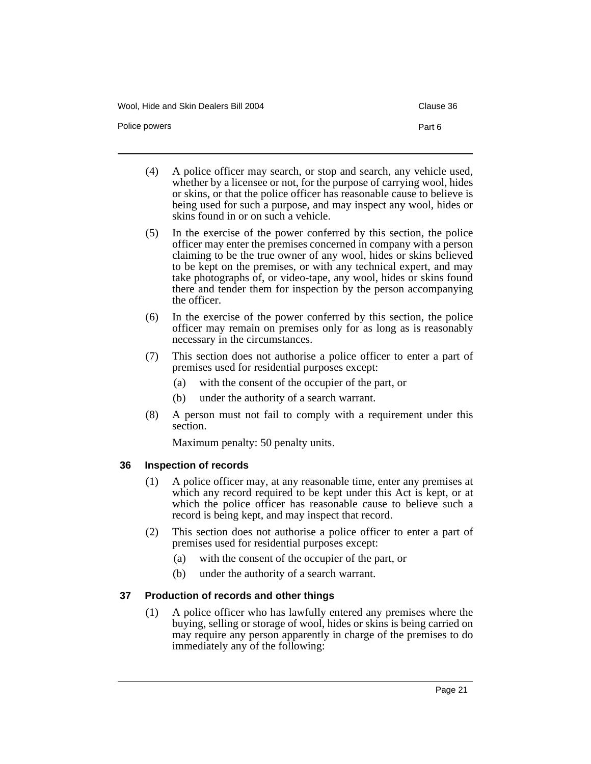Wool, Hide and Skin Dealers Bill 2004 Clause 36

(4) A police officer may search, or stop and search, any vehicle used, whether by a licensee or not, for the purpose of carrying wool, hides or skins, or that the police officer has reasonable cause to believe is being used for such a purpose, and may inspect any wool, hides or skins found in or on such a vehicle.

Police powers **Part 6** 

- (5) In the exercise of the power conferred by this section, the police officer may enter the premises concerned in company with a person claiming to be the true owner of any wool, hides or skins believed to be kept on the premises, or with any technical expert, and may take photographs of, or video-tape, any wool, hides or skins found there and tender them for inspection by the person accompanying the officer.
- (6) In the exercise of the power conferred by this section, the police officer may remain on premises only for as long as is reasonably necessary in the circumstances.
- (7) This section does not authorise a police officer to enter a part of premises used for residential purposes except:
	- (a) with the consent of the occupier of the part, or
	- (b) under the authority of a search warrant.
- (8) A person must not fail to comply with a requirement under this section.

Maximum penalty: 50 penalty units.

## **36 Inspection of records**

- (1) A police officer may, at any reasonable time, enter any premises at which any record required to be kept under this Act is kept, or at which the police officer has reasonable cause to believe such a record is being kept, and may inspect that record.
- (2) This section does not authorise a police officer to enter a part of premises used for residential purposes except:
	- (a) with the consent of the occupier of the part, or
	- (b) under the authority of a search warrant.

## **37 Production of records and other things**

(1) A police officer who has lawfully entered any premises where the buying, selling or storage of wool, hides or skins is being carried on may require any person apparently in charge of the premises to do immediately any of the following: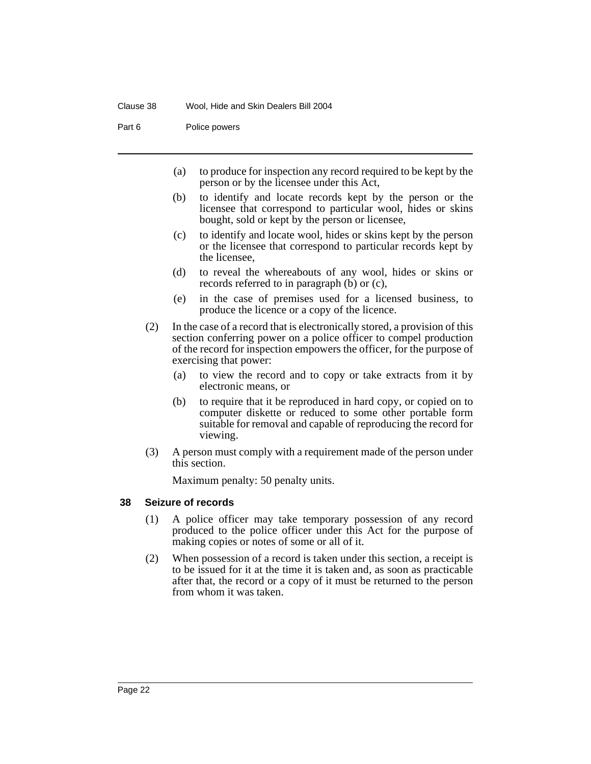Part 6 Police powers

- (a) to produce for inspection any record required to be kept by the person or by the licensee under this Act,
- (b) to identify and locate records kept by the person or the licensee that correspond to particular wool, hides or skins bought, sold or kept by the person or licensee,
- (c) to identify and locate wool, hides or skins kept by the person or the licensee that correspond to particular records kept by the licensee,
- (d) to reveal the whereabouts of any wool, hides or skins or records referred to in paragraph (b) or (c),
- (e) in the case of premises used for a licensed business, to produce the licence or a copy of the licence.
- (2) In the case of a record that is electronically stored, a provision of this section conferring power on a police officer to compel production of the record for inspection empowers the officer, for the purpose of exercising that power:
	- (a) to view the record and to copy or take extracts from it by electronic means, or
	- (b) to require that it be reproduced in hard copy, or copied on to computer diskette or reduced to some other portable form suitable for removal and capable of reproducing the record for viewing.
- (3) A person must comply with a requirement made of the person under this section.

Maximum penalty: 50 penalty units.

#### **38 Seizure of records**

- (1) A police officer may take temporary possession of any record produced to the police officer under this Act for the purpose of making copies or notes of some or all of it.
- (2) When possession of a record is taken under this section, a receipt is to be issued for it at the time it is taken and, as soon as practicable after that, the record or a copy of it must be returned to the person from whom it was taken.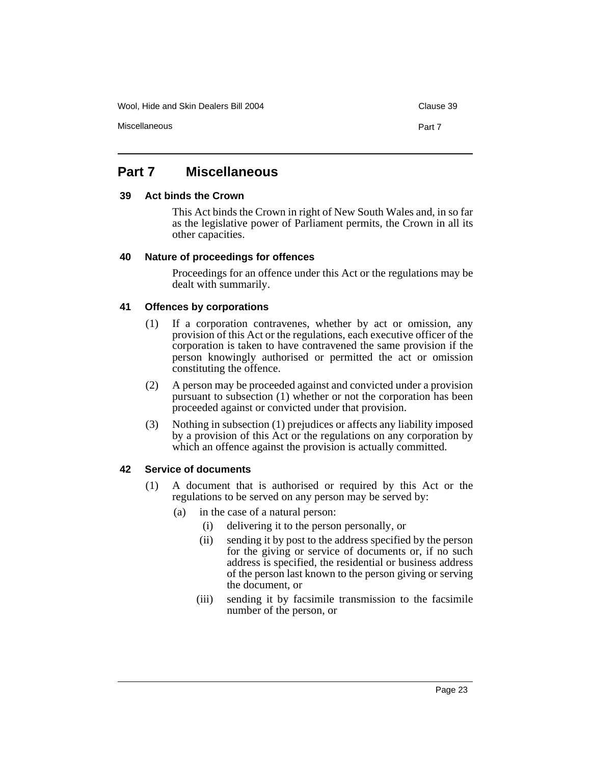Wool, Hide and Skin Dealers Bill 2004 Clause 39

## **Part 7 Miscellaneous**

#### **39 Act binds the Crown**

This Act binds the Crown in right of New South Wales and, in so far as the legislative power of Parliament permits, the Crown in all its other capacities.

#### **40 Nature of proceedings for offences**

Proceedings for an offence under this Act or the regulations may be dealt with summarily.

#### **41 Offences by corporations**

- (1) If a corporation contravenes, whether by act or omission, any provision of this Act or the regulations, each executive officer of the corporation is taken to have contravened the same provision if the person knowingly authorised or permitted the act or omission constituting the offence.
- (2) A person may be proceeded against and convicted under a provision pursuant to subsection (1) whether or not the corporation has been proceeded against or convicted under that provision.
- (3) Nothing in subsection (1) prejudices or affects any liability imposed by a provision of this Act or the regulations on any corporation by which an offence against the provision is actually committed.

#### **42 Service of documents**

- (1) A document that is authorised or required by this Act or the regulations to be served on any person may be served by:
	- (a) in the case of a natural person:
		- (i) delivering it to the person personally, or
		- (ii) sending it by post to the address specified by the person for the giving or service of documents or, if no such address is specified, the residential or business address of the person last known to the person giving or serving the document, or
		- (iii) sending it by facsimile transmission to the facsimile number of the person, or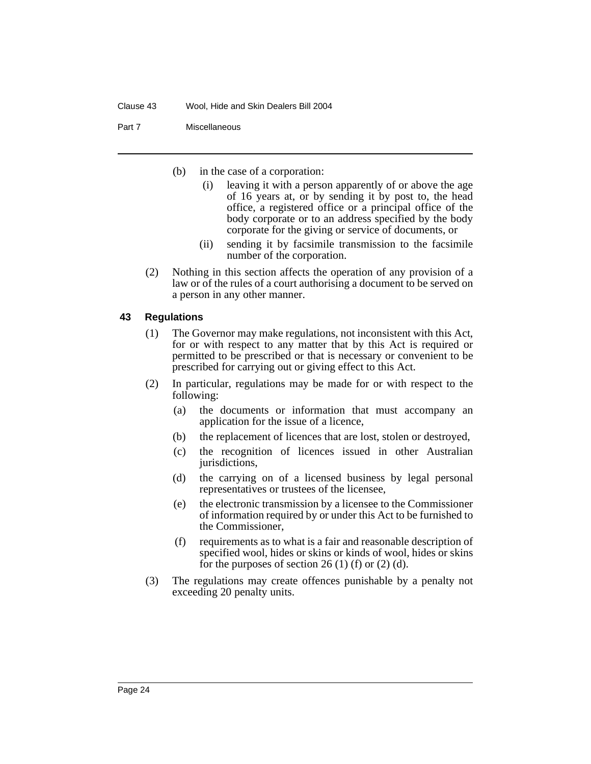Part 7 Miscellaneous

- (b) in the case of a corporation:
	- (i) leaving it with a person apparently of or above the age of 16 years at, or by sending it by post to, the head office, a registered office or a principal office of the body corporate or to an address specified by the body corporate for the giving or service of documents, or
	- (ii) sending it by facsimile transmission to the facsimile number of the corporation.
- (2) Nothing in this section affects the operation of any provision of a law or of the rules of a court authorising a document to be served on a person in any other manner.

### **43 Regulations**

- (1) The Governor may make regulations, not inconsistent with this Act, for or with respect to any matter that by this Act is required or permitted to be prescribed or that is necessary or convenient to be prescribed for carrying out or giving effect to this Act.
- (2) In particular, regulations may be made for or with respect to the following:
	- (a) the documents or information that must accompany an application for the issue of a licence,
	- (b) the replacement of licences that are lost, stolen or destroyed,
	- (c) the recognition of licences issued in other Australian jurisdictions,
	- (d) the carrying on of a licensed business by legal personal representatives or trustees of the licensee,
	- (e) the electronic transmission by a licensee to the Commissioner of information required by or under this Act to be furnished to the Commissioner,
	- (f) requirements as to what is a fair and reasonable description of specified wool, hides or skins or kinds of wool, hides or skins for the purposes of section 26 (1) (f) or (2) (d).
- (3) The regulations may create offences punishable by a penalty not exceeding 20 penalty units.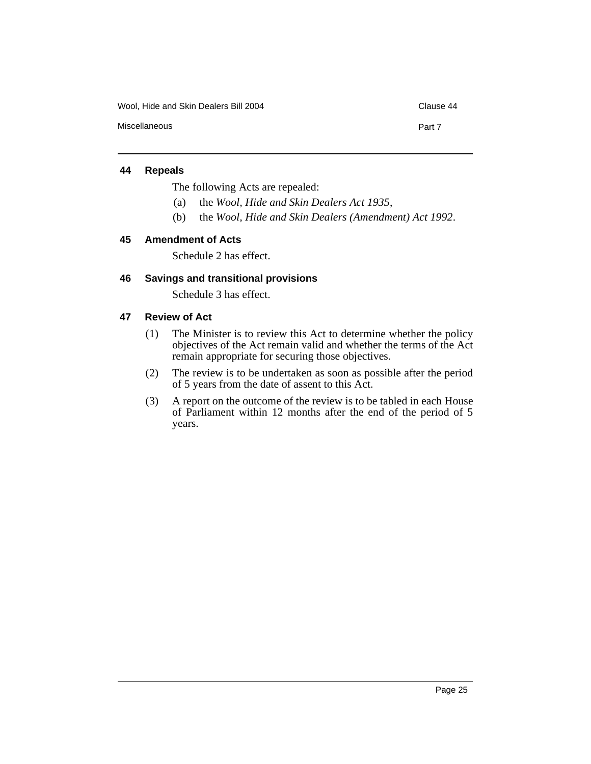Wool, Hide and Skin Dealers Bill 2004 Clause 44

Miscellaneous **Part 7** 

**44 Repeals**

The following Acts are repealed:

- (a) the *Wool, Hide and Skin Dealers Act 1935*,
- (b) the *Wool, Hide and Skin Dealers (Amendment) Act 1992*.

#### **45 Amendment of Acts**

Schedule 2 has effect.

### **46 Savings and transitional provisions**

Schedule 3 has effect.

#### **47 Review of Act**

- (1) The Minister is to review this Act to determine whether the policy objectives of the Act remain valid and whether the terms of the Act remain appropriate for securing those objectives.
- (2) The review is to be undertaken as soon as possible after the period of 5 years from the date of assent to this Act.
- (3) A report on the outcome of the review is to be tabled in each House of Parliament within 12 months after the end of the period of 5 years.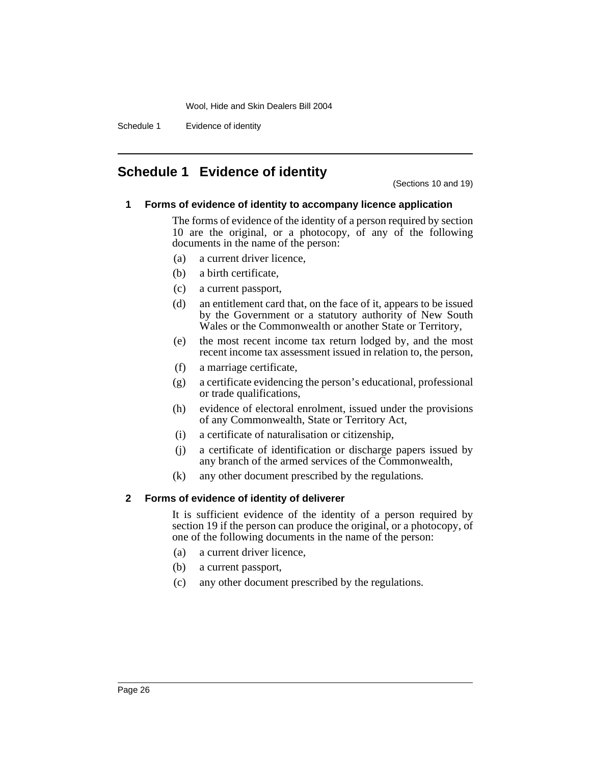Schedule 1 Evidence of identity

## **Schedule 1 Evidence of identity**

(Sections 10 and 19)

### **1 Forms of evidence of identity to accompany licence application**

The forms of evidence of the identity of a person required by section 10 are the original, or a photocopy, of any of the following documents in the name of the person:

- (a) a current driver licence,
- (b) a birth certificate,
- (c) a current passport,
- (d) an entitlement card that, on the face of it, appears to be issued by the Government or a statutory authority of New South Wales or the Commonwealth or another State or Territory,
- (e) the most recent income tax return lodged by, and the most recent income tax assessment issued in relation to, the person,
- (f) a marriage certificate,
- (g) a certificate evidencing the person's educational, professional or trade qualifications,
- (h) evidence of electoral enrolment, issued under the provisions of any Commonwealth, State or Territory Act,
- (i) a certificate of naturalisation or citizenship,
- (j) a certificate of identification or discharge papers issued by any branch of the armed services of the Commonwealth,
- (k) any other document prescribed by the regulations.

#### **2 Forms of evidence of identity of deliverer**

It is sufficient evidence of the identity of a person required by section 19 if the person can produce the original, or a photocopy, of one of the following documents in the name of the person:

- (a) a current driver licence,
- (b) a current passport,
- (c) any other document prescribed by the regulations.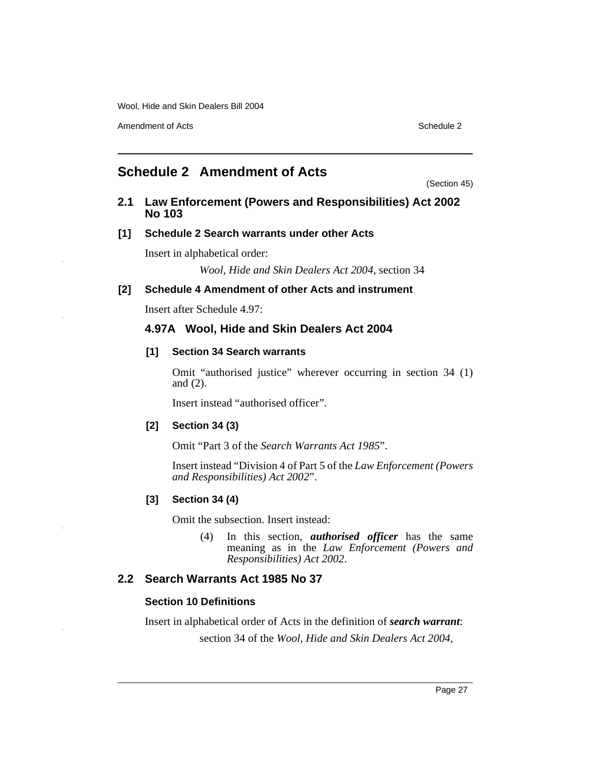Amendment of Acts **Schedule 2** and  $\overline{a}$  3 and  $\overline{b}$  3 and  $\overline{a}$  3 and  $\overline{b}$  3 and  $\overline{a}$  3 and  $\overline{a}$  3 and  $\overline{a}$  3 and  $\overline{a}$  3 and  $\overline{a}$  3 and  $\overline{a}$  3 and  $\overline{a}$  3 and  $\overline{a}$  3 and  $\overline{a}$ 

## **Schedule 2 Amendment of Acts**

(Section 45)

### **2.1 Law Enforcement (Powers and Responsibilities) Act 2002 No 103**

## **[1] Schedule 2 Search warrants under other Acts**

Insert in alphabetical order:

*Wool, Hide and Skin Dealers Act 2004*, section 34

#### **[2] Schedule 4 Amendment of other Acts and instrument**

Insert after Schedule 4.97:

## **4.97A Wool, Hide and Skin Dealers Act 2004**

#### **[1] Section 34 Search warrants**

Omit "authorised justice" wherever occurring in section 34 (1) and (2).

Insert instead "authorised officer".

#### **[2] Section 34 (3)**

Omit "Part 3 of the *Search Warrants Act 1985*".

Insert instead "Division 4 of Part 5 of the *Law Enforcement (Powers and Responsibilities) Act 2002*".

#### **[3] Section 34 (4)**

Omit the subsection. Insert instead:

(4) In this section, *authorised officer* has the same meaning as in the *Law Enforcement (Powers and Responsibilities) Act 2002*.

## **2.2 Search Warrants Act 1985 No 37**

#### **Section 10 Definitions**

Insert in alphabetical order of Acts in the definition of *search warrant*:

section 34 of the *Wool, Hide and Skin Dealers Act 2004*,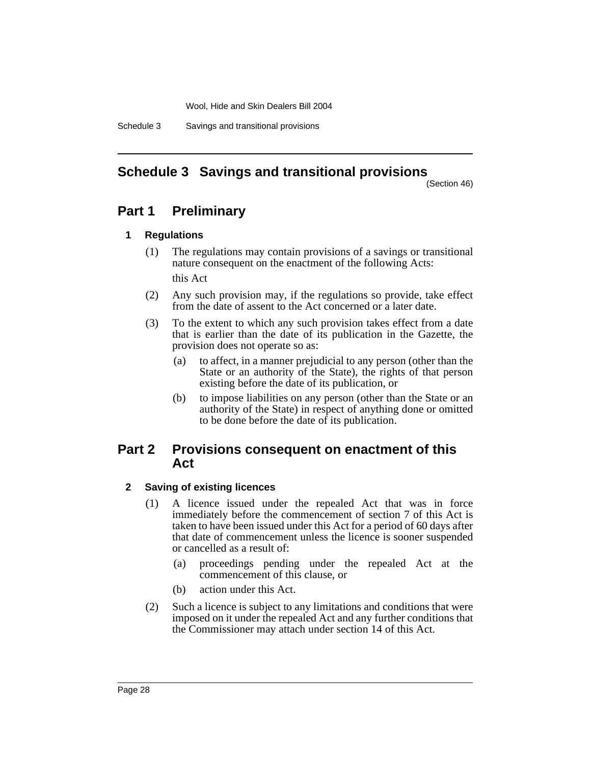Schedule 3 Savings and transitional provisions

## **Schedule 3 Savings and transitional provisions**

(Section 46)

## **Part 1 Preliminary**

### **1 Regulations**

- (1) The regulations may contain provisions of a savings or transitional nature consequent on the enactment of the following Acts: this Act
- (2) Any such provision may, if the regulations so provide, take effect from the date of assent to the Act concerned or a later date.
- (3) To the extent to which any such provision takes effect from a date that is earlier than the date of its publication in the Gazette, the provision does not operate so as:
	- (a) to affect, in a manner prejudicial to any person (other than the State or an authority of the State), the rights of that person existing before the date of its publication, or
	- (b) to impose liabilities on any person (other than the State or an authority of the State) in respect of anything done or omitted to be done before the date of its publication.

## **Part 2 Provisions consequent on enactment of this Act**

## **2 Saving of existing licences**

- (1) A licence issued under the repealed Act that was in force immediately before the commencement of section 7 of this Act is taken to have been issued under this Act for a period of 60 days after that date of commencement unless the licence is sooner suspended or cancelled as a result of:
	- (a) proceedings pending under the repealed Act at the commencement of this clause, or
	- (b) action under this Act.
- (2) Such a licence is subject to any limitations and conditions that were imposed on it under the repealed Act and any further conditions that the Commissioner may attach under section 14 of this Act.